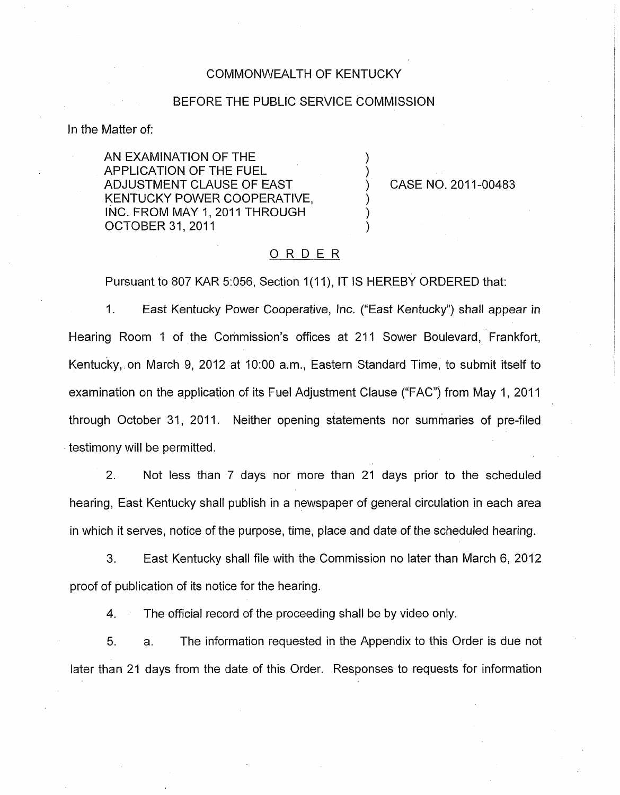### COMMONWEALTH OF KENTUCKY

#### BEFORE THE PUBLIC SERVICE COMMISSION

In the Matter of:

AN EXAMINATION OF THE APPLICATION OF THE FUEL ) KENTUCKY POWER COOPERATIVE, INC. FROM MAY 1, 2011 THROUGH OCTOBER 31, 2011 ADJUSTMENT CLAUSE OF EAST (2011-00483

## ORDER

Pursuant to 807 KAR 5:056, Section 1(11), IT IS HEREBY ORDERED that:

1. East Kentucky Power Cooperative, Inc. ("East Kentucky") shall appear in Hearing Room 1 of the Commission's offices at 211 Sower Boulevard, Frankfort, Kentucky, on March 9, 2012 at 1O:OO a.m., Eastern Standard Time, to submit itself to examination on the application of its Fuel Adjustment Clause ("FAC") from May 1, 2011 through October 31, 2011. Neither opening statements nor summaries of pre-filed testimony will be permitted.

2. Not less than 7 days nor more than 21 days prior to the scheduled hearing, East Kentucky shall publish in a newspaper of general circulation in each area in which it serves, notice of the purpose, time, place and date of the scheduled hearing.

**3.** East Kentucky shall file with the Commission no later than March 6, 2012 proof of publication of its notice for the hearing.

4. The official record of the proceeding shall be by video only.

5. a. The information requested in the Appendix to this Order is due not later than 21 days from the date of this Order. Responses to requests for information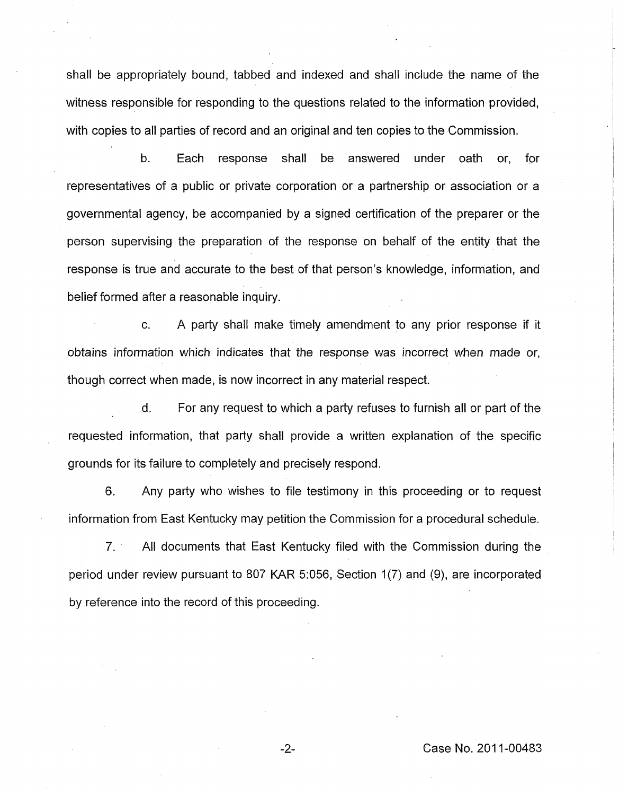shall be appropriately bound, tabbed and indexed and shall include the name of the witness responsible for responding to the questions related to the information provided, with copies to all parties of record and an original and ten copies to the Commission.

b. Each response shall be answered under oath or, for representatives of a public or private corporation or a partnership or association or a governmental agency, be accompanied by a signed certification of the preparer or the person supervising the preparation of the response on behalf of the entity that the response is true and accurate to the best of that person's knowledge, information, and belief formed after a reasonable inquiry.

c. A party shall make timely amendment to any prior response if it obtains information which indicates that the response was incorrect when made or, though correct when made, is now incorrect in any material respect.

d. For any request to which a party refuses to furnish all or part of the requested information, that party shall provide a written explanation of the specific grounds for its failure to completely and precisely respond.

**6.** Any party who wishes to file testimony in this proceeding or to request information from East Kentucky may petition the Commission for a procedural schedule.

*7.* All documents that East Kentucky filed with the Commission during the period under review pursuant to 807 KAR 5:056, Section 1(7) and (9), are incorporated by reference into the record of this proceeding.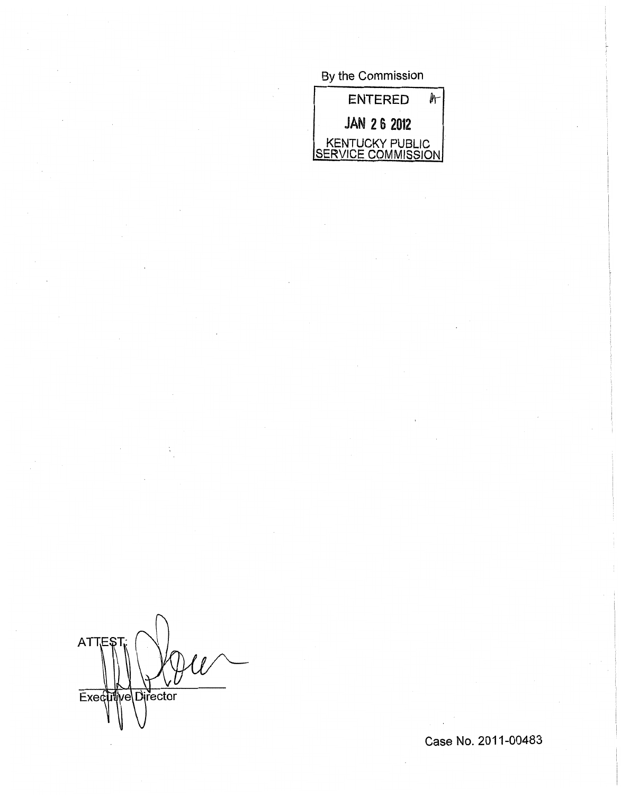# By the Commission



n **ATTE** Executive Director

Case No. 2011-00483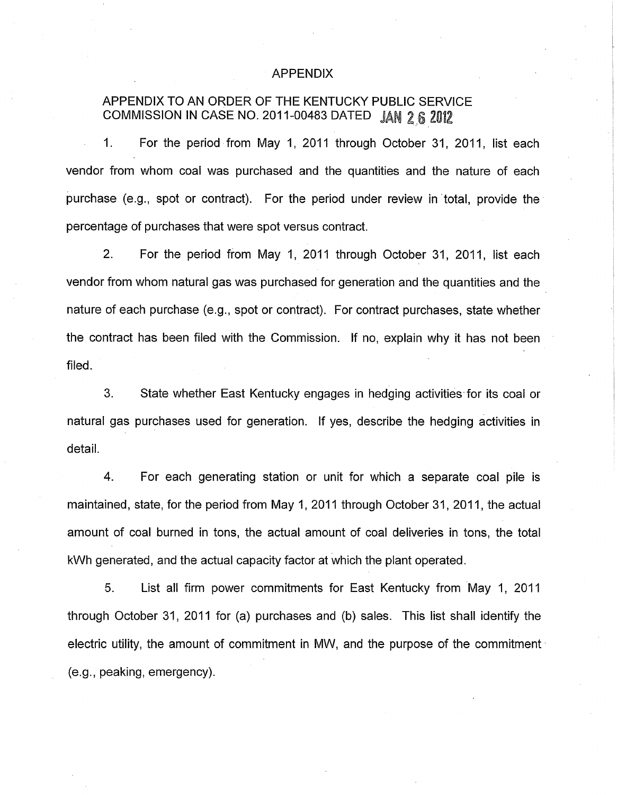### APPENDIX

# APPENDIX TO AN ORDER OF THE KENTUCKY PUBLIC SERVICE COMMISSION IN CASE NO. 2011-00483 DATED JAN 2 6 2012

1. For the period from May 1, 2011 through October 31, 2011, list each vendor from whom coal was purchased and the quantities and the nature of each purchase (e.g., spot or contract). For the period under review in total, provide the percentage of purchases that were spot versus contract.

2. For the period from May 1, 2011 through October 31, 2011, list each vendor from whom natural gas was purchased for generation and the quantities and the nature of each purchase (e.g., spot or contract). For contract purchases, state whether the contract has been filed with the Commission. If no, explain why it has not been filed.

*3.* State whether East Kentucky engages in hedging activities for its coal or natural gas purchases used for generation. If yes, describe the hedging activities in detail.

**4.** For each generating station or unit for which a separate coal pile is maintained, state, for the period from May 1, 2011 through October 31, 2011, the actual amount of coal burned in tons, the actual amount of coal deliveries in tons, the total kWh generated, and the actual capacity factor at which the plant operated.

5. List all firm power commitments for East Kentucky from May 1, 2011 through October 31, 2011 for (a) purchases and (b) sales. This list shall identify the electric utility, the amount of commitment in MW, and the purpose of the commitment (e.g., peaking, emergency).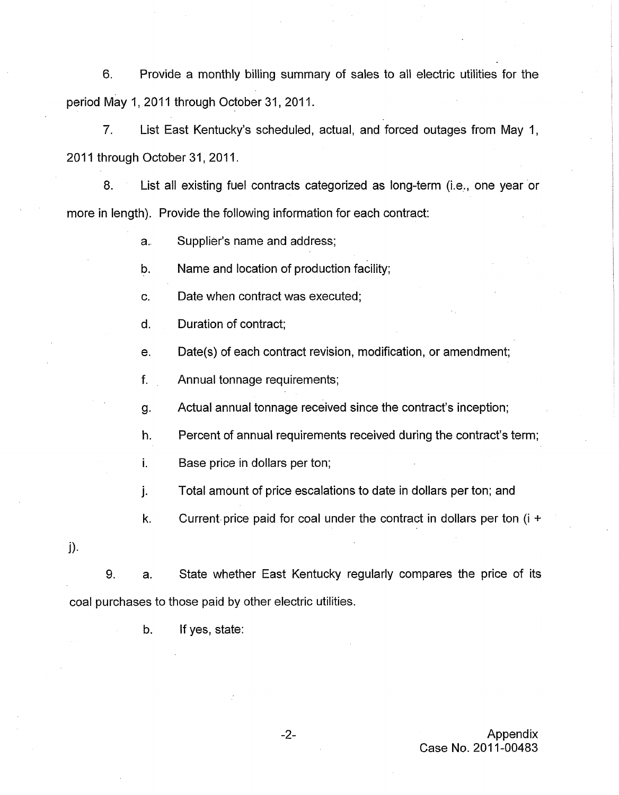6. Provide a monthly billing summary of sales to all electric utilities for the period May 1, 2011 through October 31, 2011.

*7.* List East Kentucky's scheduled, actual, and forced outages from May 1, 2011 through October 31, 2011.

8. List all existing fuel contracts categorized as long-term (i.e., one year or more in length). Provide the following information for each contract:

> $a<sub>r</sub>$ Supplier's name and address;

b. Name and location of production facility;

C. Date when contract was executed;

d. Duration of contract;

e. Date(s) of each contract revision, modification, or amendment;

f. Annual tonnage requirements;

g. Actual annual tonnage received since the contract's inception;

h. Percent of annual requirements received during the contract's term;

**I.**  Base price in dollars per ton;

1. Total amount of price escalations to date in dollars per ton; and

k. Current price paid for coal under the contract in dollars per ton (i **f** 

 $j$ ).

9. a. State whether East Kentucky regularly compares the price of its coal purchases to those paid by other electric utilities.

b. If yes, state: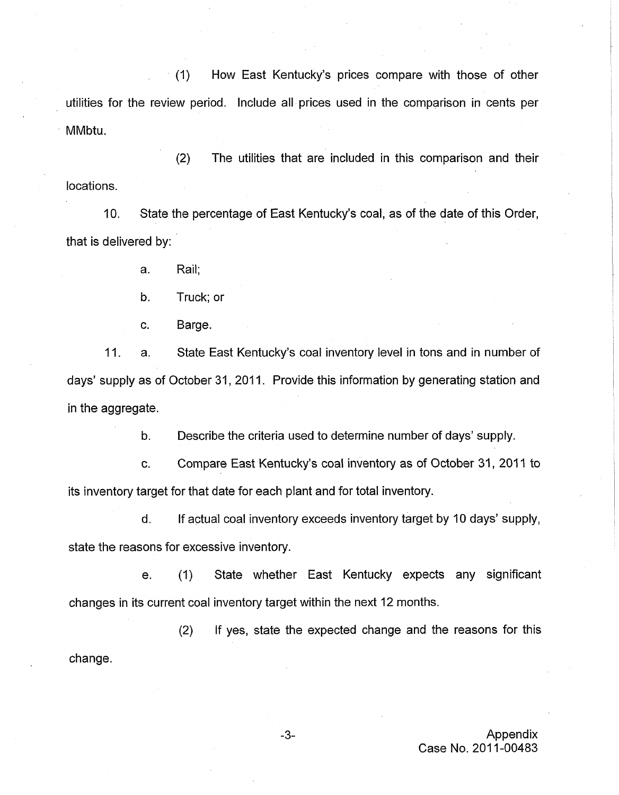(I) How East Kentucky's prices compare with those of other utilities for the review period. Include all prices used in the comparison in cents per MMbtu.

(2) The utilities that are included in this comparison and their locations.

IO. State the percentage of East Kentucky's coal, as of the date of this Order, that is delivered by:

a. Rail;

b. Truck; or

c. Barge.

11. a. State East Kentucky's coal inventory level in tons and in number of days' supply as of October 31, 2011. Provide this information by generating station and in the aggregate.

> b. Describe the criteria used to determine number of days' supply.

c. Compare East Kentucky's coal inventory as of October 31, 2011 to its inventory target for that date for each plant and for total inventory.

d. If actual coal inventory exceeds inventory target by 10 days' supply, state the reasons for excessive inventory.

e. (I) State whether East Kentucky expects any significant changes in its current coal inventory target within the next 12 months.

(2) If yes, state the expected change and the reasons for this change.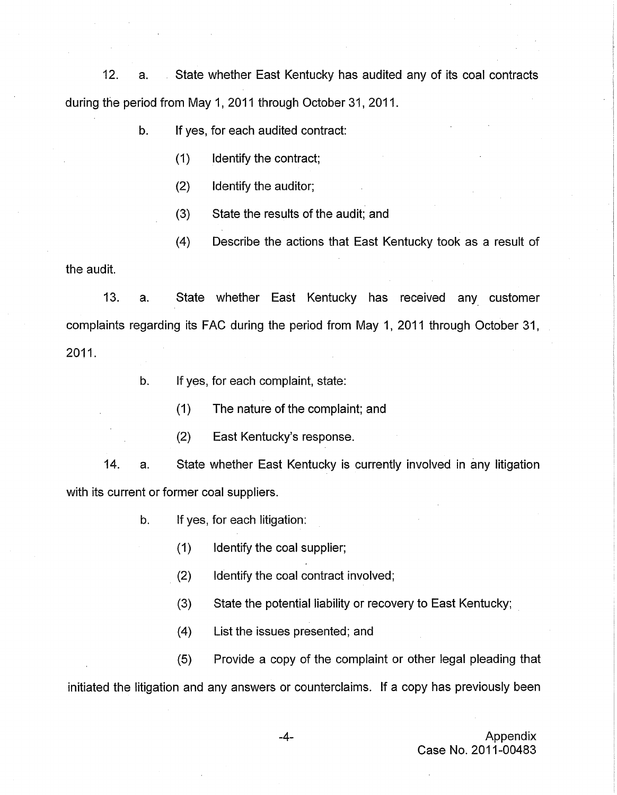12. a. State whether East Kentucky has audited any of its coal contracts during the period from May 1, 2011 through October 31, 2011.

b. If yes, for each audited contract:

- (1) Identify the contract;
- (2) Identify the auditor;
- (3) State the results of the audit; and
- (4) Describe the actions that East Kentucky took as a result of

the audit.

13. a. State whether East Kentucky has received any customer complaints regarding its FAC during the period from May 1, 2011 through October 31, 2011.

b. If yes, for each complaint, state:

(1) The nature of the complaint; and

(2) East Kentucky's response.

State whether East Kentucky is currently involved in any litigation 14. a. with its current or former coal suppliers.

- b. If yes, for each litigation:
	- (1) Identify the coal supplier;
	- (2) Identify the coal contract involved;
	- (3) State the potential liability or recovery to East Kentucky;
	- (4) List the issues presented; and

(5) Provide a copy of the complaint or other legal pleading that initiated the litigation and any answers or counterclaims. If a copy has previously been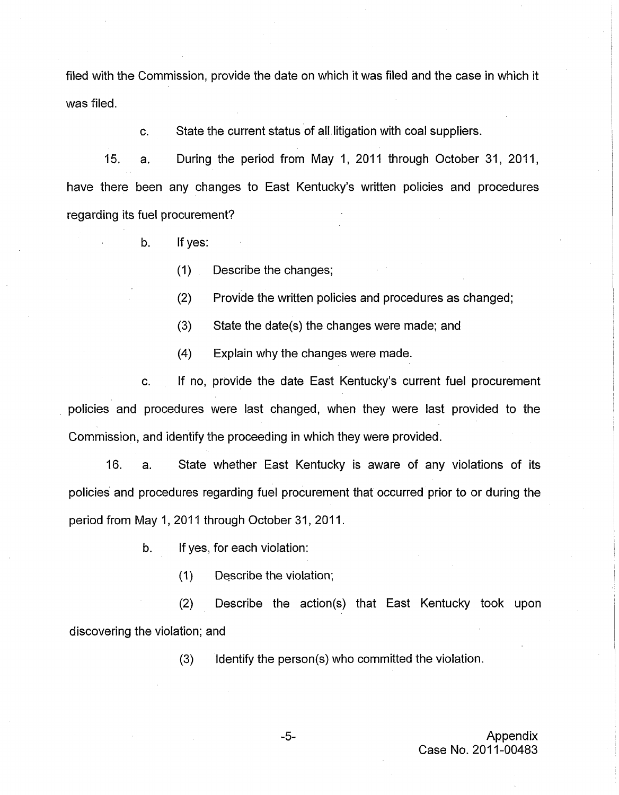filed with the Commission, provide the date on which it was filed and the case in which it was filed.

> c. State the current status of all litigation with coal suppliers.

15. a. During the period from May I, 2011 through October 31, 2011, have there been any changes to East Kentucky's written policies and procedures regarding its fuel procurement?

- b. If yes:
	- (I) Describe the changes;
	- (2) Provide the written policies and procedures as changed;
	- (3) State the date(s) the changes were made; and
	- (4) Explain why the changes were made.

If no, provide the date East Kentucky's current fuel procurement policies and procedures were last changed, when they were last provided to the Commission, and identify the proceeding in which they were provided. c.

16. a. State whether East Kentucky is aware of any violations of its policies and procedures regarding fuel procurement that occurred prior to or during the period from May 1, 2011 through October 31, 2011.

- b. If yes, for each violation:
	- (1) Describe the violation;

(2) Describe the action(s) that East Kentucky took upon discovering the violation; and

(3) Identify the person(s) who committed the violation.

I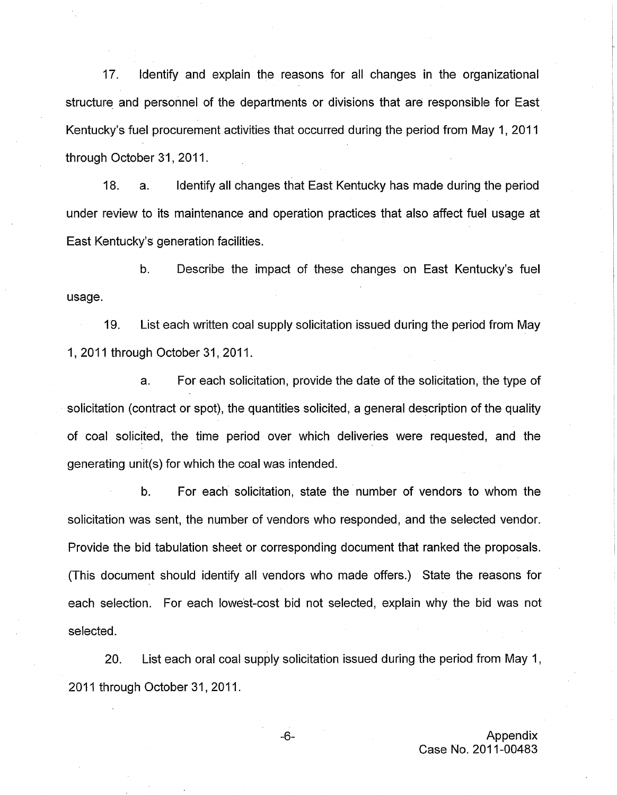17. Identify and explain the reasons for all changes in the organizational structure and personnel of the departments or divisions that are responsible for East Kentucky's fuel procurement activities that occurred during the period from May 1, 2011 through October 31, 2011.

18. a. Identify all changes that East Kentucky has made during the period under review to its maintenance and operation practices that also affect fuel usage at East Kentucky's generation facilities.

b. Describe the impact of these changes on East Kentucky's fuel usage.

19. List each written coal supply solicitation issued during the period from May 1, 2011 through October 31, 2011.

a. For each solicitation, provide the date of the solicitation, the type of solicitation (contract or spot), the quantities solicited, a general description of the quality of coal solicited, the time period over which deliveries were requested, and the generating unit(s) for which the coal was intended.

b. For each solicitation, state the number of vendors to whom the solicitation was sent, the number of vendors who responded, and the selected vendor. Provide the bid tabulation sheet or corresponding document that ranked the proposals. (This document should identify all vendors who made offers.) State the reasons for each selection. For each lowest-cost bid not selected, explain why the bid was not selected.

20. List each oral coal supply solicitation issued during the period from May 1, 2011 through October 31, 2011.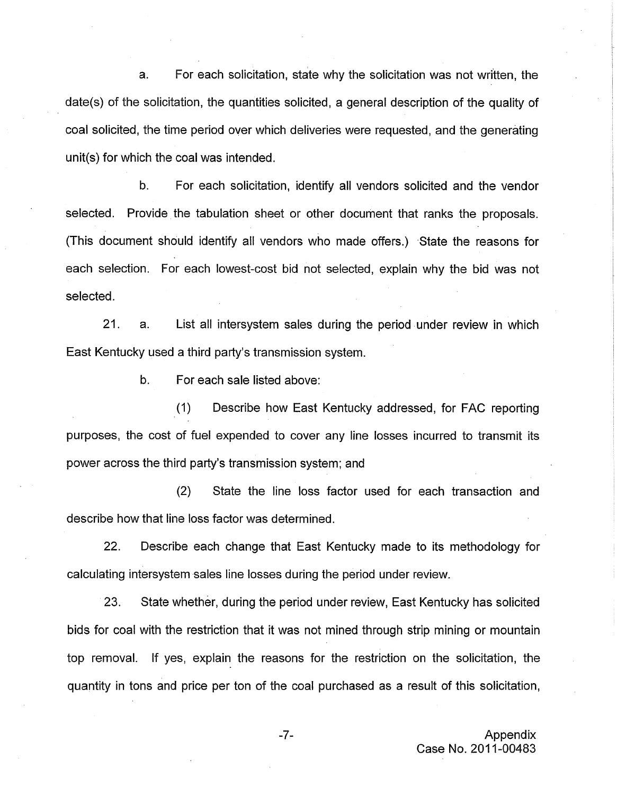a. For each solicitation, state why the solicitation was not written, the date(s) of the solicitation, the quantities solicited, a general description of the quality of coal solicited, the time period over which deliveries were requested, and the generating unit(s) for which the coal was intended.

b. For each solicitation, identify all vendors solicited and the vendor selected. Provide the tabulation sheet or other document that ranks the proposals. (This document should identify all vendors who made offers.) State the reasons for each selection. For each lowest-cost bid not selected, explain why the bid was not selected.

21. a. List all intersystem sales during the period under review in which East Kentucky used a third party's transmission system.

b. For each sale listed above:

(I) Describe how East Kentucky addressed, for FAC reporting purposes, the cost of fuel expended to cover any line losses incurred to transmit its power across the third party's transmission system; and

(2) State the line loss factor used for each transaction and describe how that line loss factor was determined.

22. Describe each change that East Kentucky made to its methodology for calculating intersystem sales line losses during the period under review.

23. State whether, during the period under review, East Kentucky has solicited bids for coal with the restriction that it was not mined through strip mining or mountain top removal. If yes, explain the reasons for the restriction on the solicitation, the quantity in tons and price per ton of the coal purchased as a result of this solicitation,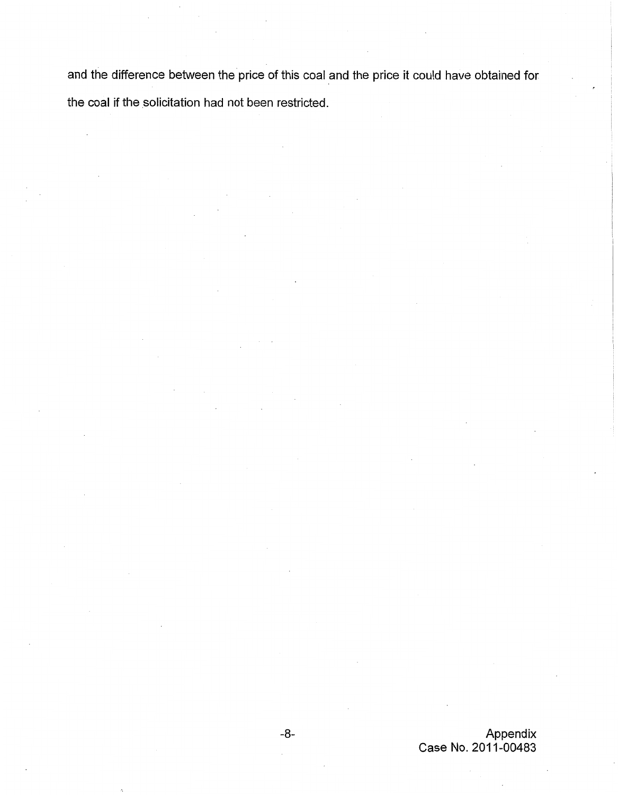and the difference between the price of this coal and the price it could have obtained for the coal if the solicitation had not been restricted.

> -8- Appendix Case **No.** 201 1-00483